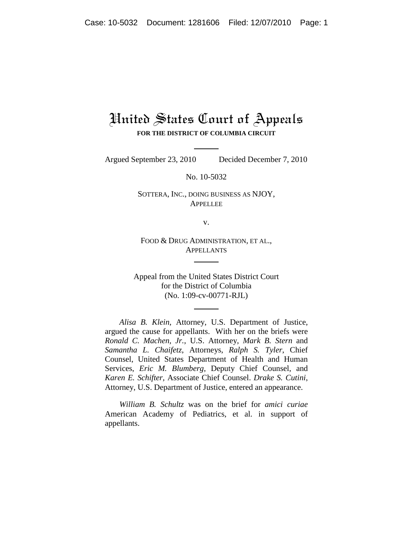## United States Court of Appeals **FOR THE DISTRICT OF COLUMBIA CIRCUIT**

Argued September 23, 2010 Decided December 7, 2010

No. 10-5032

SOTTERA, INC., DOING BUSINESS AS NJOY, APPELLEE

v.

FOOD & DRUG ADMINISTRATION, ET AL., APPELLANTS

Appeal from the United States District Court for the District of Columbia (No. 1:09-cv-00771-RJL)

*Alisa B. Klein*, Attorney, U.S. Department of Justice, argued the cause for appellants. With her on the briefs were *Ronald C. Machen, Jr.*, U.S. Attorney, *Mark B. Stern* and *Samantha L. Chaifetz*, Attorneys, *Ralph S. Tyler*, Chief Counsel, United States Department of Health and Human Services, *Eric M. Blumberg*, Deputy Chief Counsel, and *Karen E. Schifter*, Associate Chief Counsel. *Drake S. Cutini*, Attorney, U.S. Department of Justice, entered an appearance.

*William B. Schultz* was on the brief for *amici curiae* American Academy of Pediatrics, et al. in support of appellants.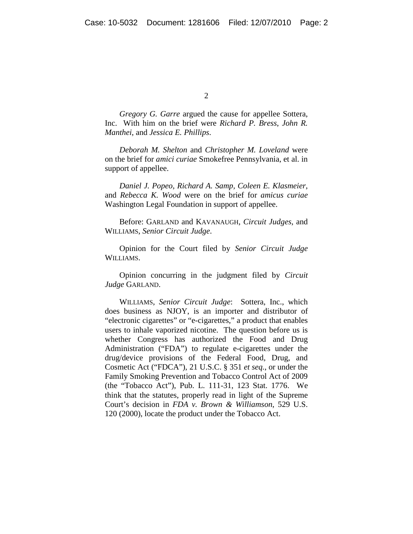*Gregory G. Garre* argued the cause for appellee Sottera, Inc. With him on the brief were *Richard P. Bress*, *John R. Manthei*, and *Jessica E. Phillips*.

*Deborah M. Shelton* and *Christopher M. Loveland* were on the brief for *amici curiae* Smokefree Pennsylvania, et al. in support of appellee.

*Daniel J. Popeo, Richard A. Samp, Coleen E. Klasmeier*, and *Rebecca K. Wood* were on the brief for *amicus curiae* Washington Legal Foundation in support of appellee.

Before: GARLAND and KAVANAUGH, *Circuit Judges*, and WILLIAMS, *Senior Circuit Judge*.

Opinion for the Court filed by *Senior Circuit Judge* WILLIAMS.

Opinion concurring in the judgment filed by *Circuit Judge* GARLAND.

WILLIAMS, *Senior Circuit Judge*: Sottera, Inc., which does business as NJOY, is an importer and distributor of "electronic cigarettes" or "e-cigarettes," a product that enables users to inhale vaporized nicotine. The question before us is whether Congress has authorized the Food and Drug Administration ("FDA") to regulate e-cigarettes under the drug/device provisions of the Federal Food, Drug, and Cosmetic Act ("FDCA"), 21 U.S.C. § 351 *et seq.*, or under the Family Smoking Prevention and Tobacco Control Act of 2009 (the "Tobacco Act"), Pub. L. 111-31, 123 Stat. 1776. We think that the statutes, properly read in light of the Supreme Court's decision in *FDA v. Brown & Williamson*, 529 U.S. 120 (2000), locate the product under the Tobacco Act.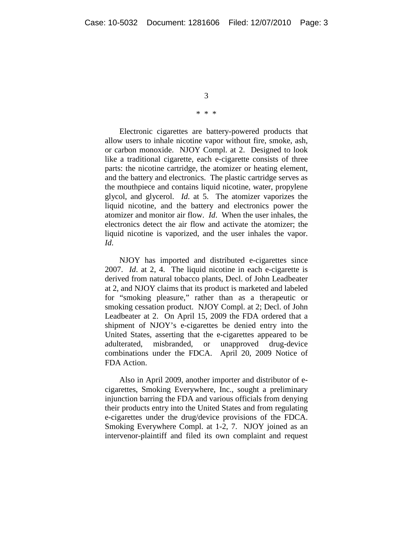## \* \* \*

Electronic cigarettes are battery-powered products that allow users to inhale nicotine vapor without fire, smoke, ash, or carbon monoxide. NJOY Compl. at 2. Designed to look like a traditional cigarette, each e-cigarette consists of three parts: the nicotine cartridge, the atomizer or heating element, and the battery and electronics. The plastic cartridge serves as the mouthpiece and contains liquid nicotine, water, propylene glycol, and glycerol. *Id*. at 5. The atomizer vaporizes the liquid nicotine, and the battery and electronics power the atomizer and monitor air flow. *Id*. When the user inhales, the electronics detect the air flow and activate the atomizer; the liquid nicotine is vaporized, and the user inhales the vapor. *Id*.

NJOY has imported and distributed e-cigarettes since 2007. *Id*. at 2, 4. The liquid nicotine in each e-cigarette is derived from natural tobacco plants, Decl. of John Leadbeater at 2, and NJOY claims that its product is marketed and labeled for "smoking pleasure," rather than as a therapeutic or smoking cessation product. NJOY Compl. at 2; Decl. of John Leadbeater at 2. On April 15, 2009 the FDA ordered that a shipment of NJOY's e-cigarettes be denied entry into the United States, asserting that the e-cigarettes appeared to be adulterated, misbranded, or unapproved drug-device combinations under the FDCA. April 20, 2009 Notice of FDA Action.

Also in April 2009, another importer and distributor of ecigarettes, Smoking Everywhere, Inc., sought a preliminary injunction barring the FDA and various officials from denying their products entry into the United States and from regulating e-cigarettes under the drug/device provisions of the FDCA. Smoking Everywhere Compl. at 1-2, 7. NJOY joined as an intervenor-plaintiff and filed its own complaint and request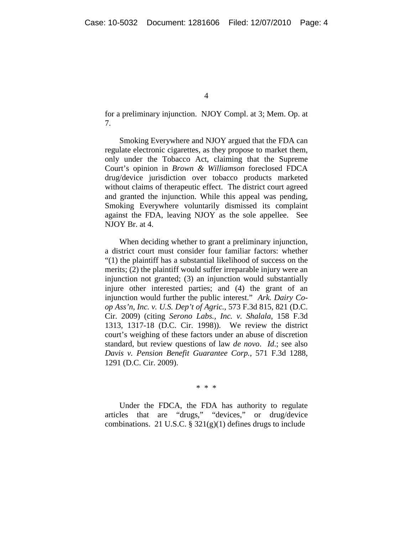for a preliminary injunction. NJOY Compl. at 3; Mem. Op. at 7.

Smoking Everywhere and NJOY argued that the FDA can regulate electronic cigarettes, as they propose to market them, only under the Tobacco Act, claiming that the Supreme Court's opinion in *Brown & Williamson* foreclosed FDCA drug/device jurisdiction over tobacco products marketed without claims of therapeutic effect. The district court agreed and granted the injunction. While this appeal was pending, Smoking Everywhere voluntarily dismissed its complaint against the FDA, leaving NJOY as the sole appellee. See NJOY Br. at 4.

When deciding whether to grant a preliminary injunction, a district court must consider four familiar factors: whether "(1) the plaintiff has a substantial likelihood of success on the merits; (2) the plaintiff would suffer irreparable injury were an injunction not granted; (3) an injunction would substantially injure other interested parties; and (4) the grant of an injunction would further the public interest." *Ark. Dairy Coop Ass'n, Inc. v. U.S. Dep't of Agric.*, 573 F.3d 815, 821 (D.C. Cir. 2009) (citing *Serono Labs., Inc. v. Shalala*, 158 F.3d 1313, 1317-18 (D.C. Cir. 1998)). We review the district court's weighing of these factors under an abuse of discretion standard, but review questions of law *de novo*. *Id*.; see also *Davis v. Pension Benefit Guarantee Corp.*, 571 F.3d 1288, 1291 (D.C. Cir. 2009).

\* \* \*

Under the FDCA, the FDA has authority to regulate articles that are "drugs," "devices," or drug/device combinations. 21 U.S.C.  $\S 321(g)(1)$  defines drugs to include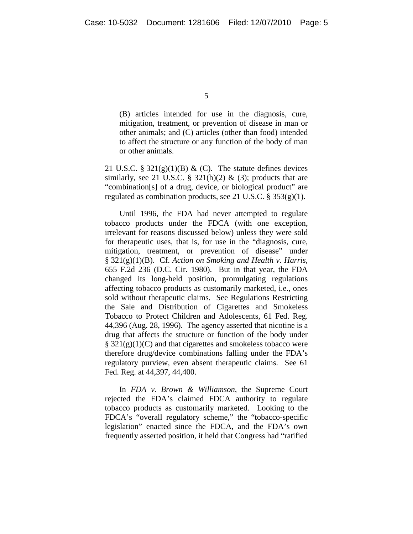(B) articles intended for use in the diagnosis, cure, mitigation, treatment, or prevention of disease in man or other animals; and (C) articles (other than food) intended to affect the structure or any function of the body of man or other animals.

21 U.S.C. § 321 $(g)(1)(B)$  & (C). The statute defines devices similarly, see 21 U.S.C. § 321(h)(2) & (3); products that are "combination[s] of a drug, device, or biological product" are regulated as combination products, see 21 U.S.C. § 353(g)(1).

Until 1996, the FDA had never attempted to regulate tobacco products under the FDCA (with one exception, irrelevant for reasons discussed below) unless they were sold for therapeutic uses, that is, for use in the "diagnosis, cure, mitigation, treatment, or prevention of disease" under § 321(g)(1)(B). Cf. *Action on Smoking and Health v. Harris*, 655 F.2d 236 (D.C. Cir. 1980). But in that year, the FDA changed its long-held position, promulgating regulations affecting tobacco products as customarily marketed, i.e., ones sold without therapeutic claims. See Regulations Restricting the Sale and Distribution of Cigarettes and Smokeless Tobacco to Protect Children and Adolescents, 61 Fed. Reg. 44,396 (Aug. 28, 1996). The agency asserted that nicotine is a drug that affects the structure or function of the body under  $\S$  321(g)(1)(C) and that cigarettes and smokeless tobacco were therefore drug/device combinations falling under the FDA's regulatory purview, even absent therapeutic claims. See 61 Fed. Reg. at 44,397, 44,400.

In *FDA v. Brown & Williamson*, the Supreme Court rejected the FDA's claimed FDCA authority to regulate tobacco products as customarily marketed. Looking to the FDCA's "overall regulatory scheme," the "tobacco-specific legislation" enacted since the FDCA, and the FDA's own frequently asserted position, it held that Congress had "ratified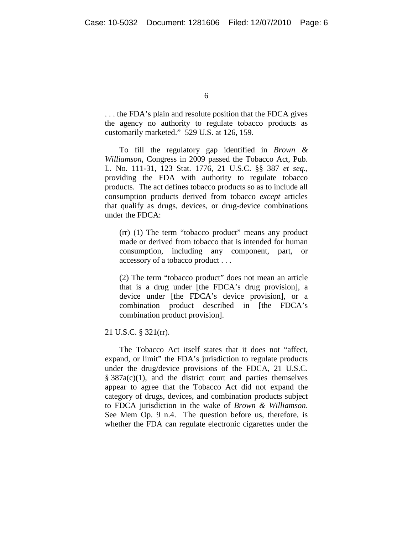. . . the FDA's plain and resolute position that the FDCA gives the agency no authority to regulate tobacco products as customarily marketed." 529 U.S. at 126, 159.

To fill the regulatory gap identified in *Brown & Williamson*, Congress in 2009 passed the Tobacco Act, Pub. L. No. 111-31, 123 Stat. 1776, 21 U.S.C. §§ 387 *et seq.*, providing the FDA with authority to regulate tobacco products. The act defines tobacco products so as to include all consumption products derived from tobacco *except* articles that qualify as drugs, devices, or drug-device combinations under the FDCA:

(rr) (1) The term "tobacco product" means any product made or derived from tobacco that is intended for human consumption, including any component, part, or accessory of a tobacco product . . .

(2) The term "tobacco product" does not mean an article that is a drug under [the FDCA's drug provision], a device under [the FDCA's device provision], or a combination product described in [the FDCA's combination product provision].

21 U.S.C. § 321(rr).

The Tobacco Act itself states that it does not "affect, expand, or limit" the FDA's jurisdiction to regulate products under the drug/device provisions of the FDCA, 21 U.S.C.  $§ 387a(c)(1)$ , and the district court and parties themselves appear to agree that the Tobacco Act did not expand the category of drugs, devices, and combination products subject to FDCA jurisdiction in the wake of *Brown & Williamson*. See Mem Op. 9 n.4. The question before us, therefore, is whether the FDA can regulate electronic cigarettes under the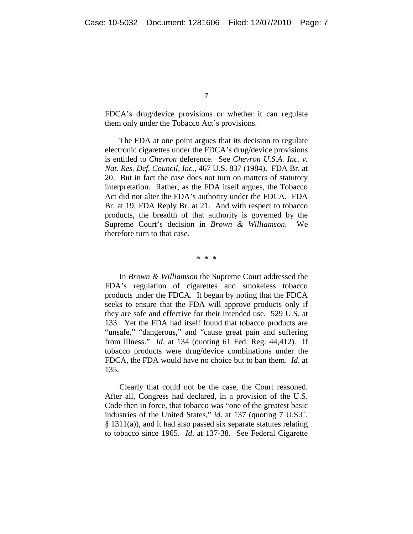FDCA's drug/device provisions or whether it can regulate them only under the Tobacco Act's provisions.

The FDA at one point argues that its decision to regulate electronic cigarettes under the FDCA's drug/device provisions is entitled to *Chevron* deference. See *Chevron U.S.A. Inc. v. Nat. Res. Def. Council, Inc.*, 467 U.S. 837 (1984). FDA Br. at 20. But in fact the case does not turn on matters of statutory interpretation. Rather, as the FDA itself argues, the Tobacco Act did not alter the FDA's authority under the FDCA. FDA Br. at 19; FDA Reply Br. at 21. And with respect to tobacco products, the breadth of that authority is governed by the Supreme Court's decision in *Brown & Williamson*. We therefore turn to that case.

\* \* \*

In *Brown & Williamson* the Supreme Court addressed the FDA's regulation of cigarettes and smokeless tobacco products under the FDCA. It began by noting that the FDCA seeks to ensure that the FDA will approve products only if they are safe and effective for their intended use. 529 U.S. at 133. Yet the FDA had itself found that tobacco products are "unsafe," "dangerous," and "cause great pain and suffering from illness." *Id*. at 134 (quoting 61 Fed. Reg. 44,412). If tobacco products were drug/device combinations under the FDCA, the FDA would have no choice but to ban them. *Id*. at 135.

Clearly that could not be the case, the Court reasoned. After all, Congress had declared, in a provision of the U.S. Code then in force, that tobacco was "one of the greatest basic industries of the United States," *id*. at 137 (quoting 7 U.S.C. § 1311(a)), and it had also passed six separate statutes relating to tobacco since 1965. *Id*. at 137-38. See Federal Cigarette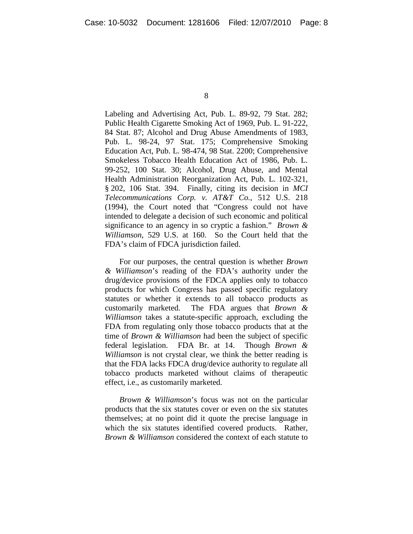Labeling and Advertising Act, Pub. L. 89-92, 79 Stat. 282; Public Health Cigarette Smoking Act of 1969, Pub. L. 91-222, 84 Stat. 87; Alcohol and Drug Abuse Amendments of 1983, Pub. L. 98-24, 97 Stat. 175; Comprehensive Smoking Education Act, Pub. L. 98-474, 98 Stat. 2200; Comprehensive Smokeless Tobacco Health Education Act of 1986, Pub. L. 99-252, 100 Stat. 30; Alcohol, Drug Abuse, and Mental Health Administration Reorganization Act, Pub. L. 102-321, § 202, 106 Stat. 394. Finally, citing its decision in *MCI Telecommunications Corp. v. AT&T Co.*, 512 U.S. 218 (1994), the Court noted that "Congress could not have intended to delegate a decision of such economic and political significance to an agency in so cryptic a fashion." *Brown & Williamson*, 529 U.S. at 160. So the Court held that the FDA's claim of FDCA jurisdiction failed.

For our purposes, the central question is whether *Brown & Williamson*'s reading of the FDA's authority under the drug/device provisions of the FDCA applies only to tobacco products for which Congress has passed specific regulatory statutes or whether it extends to all tobacco products as customarily marketed. The FDA argues that *Brown & Williamson* takes a statute-specific approach, excluding the FDA from regulating only those tobacco products that at the time of *Brown & Williamson* had been the subject of specific federal legislation. FDA Br. at 14. Though *Brown & Williamson* is not crystal clear, we think the better reading is that the FDA lacks FDCA drug/device authority to regulate all tobacco products marketed without claims of therapeutic effect, i.e., as customarily marketed.

*Brown & Williamson*'s focus was not on the particular products that the six statutes cover or even on the six statutes themselves; at no point did it quote the precise language in which the six statutes identified covered products. Rather, *Brown & Williamson* considered the context of each statute to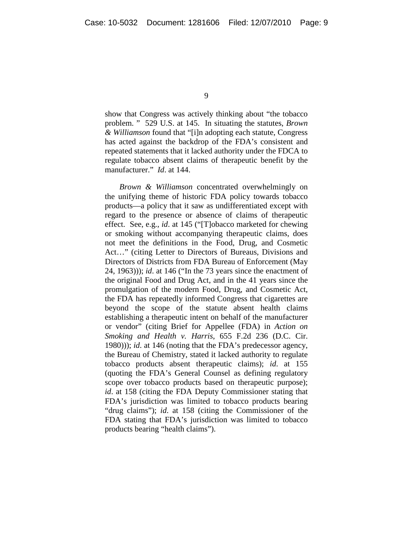show that Congress was actively thinking about "the tobacco problem. " 529 U.S. at 145. In situating the statutes, *Brown & Williamson* found that "[i]n adopting each statute, Congress has acted against the backdrop of the FDA's consistent and repeated statements that it lacked authority under the FDCA to regulate tobacco absent claims of therapeutic benefit by the manufacturer." *Id*. at 144.

*Brown & Williamson* concentrated overwhelmingly on the unifying theme of historic FDA policy towards tobacco products—a policy that it saw as undifferentiated except with regard to the presence or absence of claims of therapeutic effect. See, e.g., *id*. at 145 ("[T]obacco marketed for chewing or smoking without accompanying therapeutic claims, does not meet the definitions in the Food, Drug, and Cosmetic Act…" (citing Letter to Directors of Bureaus, Divisions and Directors of Districts from FDA Bureau of Enforcement (May 24, 1963))); *id*. at 146 ("In the 73 years since the enactment of the original Food and Drug Act, and in the 41 years since the promulgation of the modern Food, Drug, and Cosmetic Act, the FDA has repeatedly informed Congress that cigarettes are beyond the scope of the statute absent health claims establishing a therapeutic intent on behalf of the manufacturer or vendor" (citing Brief for Appellee (FDA) in *Action on Smoking and Health v. Harris*, 655 F.2d 236 (D.C. Cir. 1980))); *id*. at 146 (noting that the FDA's predecessor agency, the Bureau of Chemistry, stated it lacked authority to regulate tobacco products absent therapeutic claims); *id*. at 155 (quoting the FDA's General Counsel as defining regulatory scope over tobacco products based on therapeutic purpose); *id*. at 158 (citing the FDA Deputy Commissioner stating that FDA's jurisdiction was limited to tobacco products bearing "drug claims"); *id*. at 158 (citing the Commissioner of the FDA stating that FDA's jurisdiction was limited to tobacco products bearing "health claims").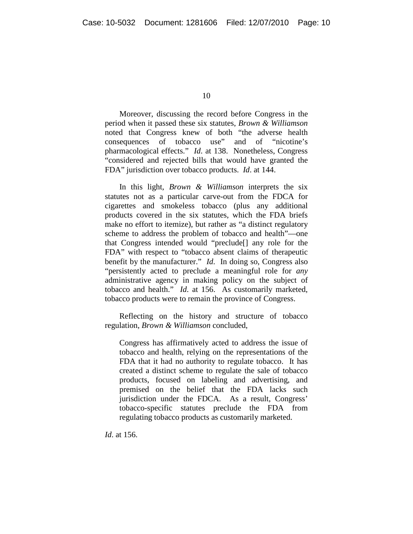Moreover, discussing the record before Congress in the period when it passed these six statutes, *Brown & Williamson* noted that Congress knew of both "the adverse health consequences of tobacco use" and of "nicotine's pharmacological effects." *Id*. at 138. Nonetheless, Congress "considered and rejected bills that would have granted the FDA" jurisdiction over tobacco products. *Id*. at 144.

In this light, *Brown & Williamson* interprets the six statutes not as a particular carve-out from the FDCA for cigarettes and smokeless tobacco (plus any additional products covered in the six statutes, which the FDA briefs make no effort to itemize), but rather as "a distinct regulatory scheme to address the problem of tobacco and health"—one that Congress intended would "preclude[] any role for the FDA" with respect to "tobacco absent claims of therapeutic benefit by the manufacturer." *Id*. In doing so, Congress also "persistently acted to preclude a meaningful role for *any* administrative agency in making policy on the subject of tobacco and health." *Id.* at 156. As customarily marketed, tobacco products were to remain the province of Congress.

Reflecting on the history and structure of tobacco regulation, *Brown & Williamson* concluded,

Congress has affirmatively acted to address the issue of tobacco and health, relying on the representations of the FDA that it had no authority to regulate tobacco. It has created a distinct scheme to regulate the sale of tobacco products, focused on labeling and advertising, and premised on the belief that the FDA lacks such jurisdiction under the FDCA. As a result, Congress' tobacco-specific statutes preclude the FDA from regulating tobacco products as customarily marketed.

*Id*. at 156.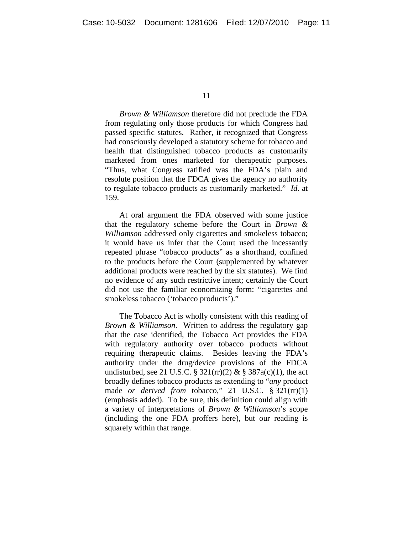*Brown & Williamson* therefore did not preclude the FDA from regulating only those products for which Congress had passed specific statutes. Rather, it recognized that Congress had consciously developed a statutory scheme for tobacco and health that distinguished tobacco products as customarily marketed from ones marketed for therapeutic purposes. "Thus, what Congress ratified was the FDA's plain and resolute position that the FDCA gives the agency no authority to regulate tobacco products as customarily marketed." *Id*. at 159.

At oral argument the FDA observed with some justice that the regulatory scheme before the Court in *Brown & Williamson* addressed only cigarettes and smokeless tobacco; it would have us infer that the Court used the incessantly repeated phrase "tobacco products" as a shorthand, confined to the products before the Court (supplemented by whatever additional products were reached by the six statutes). We find no evidence of any such restrictive intent; certainly the Court did not use the familiar economizing form: "cigarettes and smokeless tobacco ('tobacco products')."

The Tobacco Act is wholly consistent with this reading of *Brown & Williamson*. Written to address the regulatory gap that the case identified, the Tobacco Act provides the FDA with regulatory authority over tobacco products without requiring therapeutic claims. Besides leaving the FDA's authority under the drug/device provisions of the FDCA undisturbed, see 21 U.S.C. § 321 $(\text{rr})(2)$  & § 387 $a(c)(1)$ , the act broadly defines tobacco products as extending to "*any* product made *or derived from* tobacco," 21 U.S.C. § 321(rr)(1) (emphasis added). To be sure, this definition could align with a variety of interpretations of *Brown & Williamson*'s scope (including the one FDA proffers here), but our reading is squarely within that range.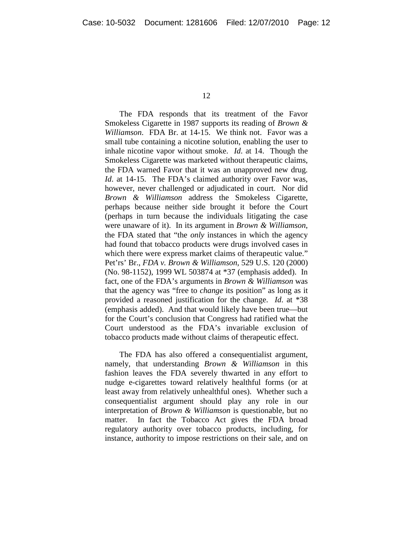The FDA responds that its treatment of the Favor Smokeless Cigarette in 1987 supports its reading of *Brown & Williamson*. FDA Br. at 14-15. We think not. Favor was a small tube containing a nicotine solution, enabling the user to inhale nicotine vapor without smoke. *Id*. at 14. Though the Smokeless Cigarette was marketed without therapeutic claims, the FDA warned Favor that it was an unapproved new drug. *Id*. at 14-15. The FDA's claimed authority over Favor was, however, never challenged or adjudicated in court. Nor did *Brown & Williamson* address the Smokeless Cigarette, perhaps because neither side brought it before the Court (perhaps in turn because the individuals litigating the case were unaware of it). In its argument in *Brown & Williamson*, the FDA stated that "the *only* instances in which the agency had found that tobacco products were drugs involved cases in which there were express market claims of therapeutic value." Pet'rs' Br., *FDA v. Brown & Williamson*, 529 U.S. 120 (2000) (No. 98-1152), 1999 WL 503874 at \*37 (emphasis added). In fact, one of the FDA's arguments in *Brown & Williamson* was that the agency was "free to *change* its position" as long as it provided a reasoned justification for the change. *Id*. at \*38 (emphasis added). And that would likely have been true—but for the Court's conclusion that Congress had ratified what the Court understood as the FDA's invariable exclusion of tobacco products made without claims of therapeutic effect.

The FDA has also offered a consequentialist argument, namely, that understanding *Brown & Williamson* in this fashion leaves the FDA severely thwarted in any effort to nudge e-cigarettes toward relatively healthful forms (or at least away from relatively unhealthful ones). Whether such a consequentialist argument should play any role in our interpretation of *Brown & Williamson* is questionable, but no matter. In fact the Tobacco Act gives the FDA broad regulatory authority over tobacco products, including, for instance, authority to impose restrictions on their sale, and on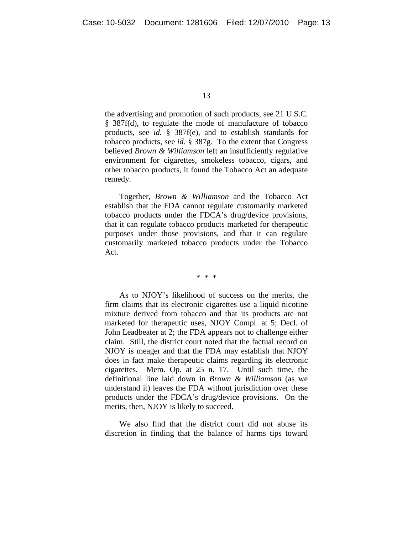the advertising and promotion of such products, see 21 U.S.C. § 387f(d), to regulate the mode of manufacture of tobacco products, see *id.* § 387f(e), and to establish standards for tobacco products, see *id.* § 387g. To the extent that Congress believed *Brown & Williamson* left an insufficiently regulative environment for cigarettes, smokeless tobacco, cigars, and other tobacco products, it found the Tobacco Act an adequate remedy.

Together, *Brown & Williamson* and the Tobacco Act establish that the FDA cannot regulate customarily marketed tobacco products under the FDCA's drug/device provisions, that it can regulate tobacco products marketed for therapeutic purposes under those provisions, and that it can regulate customarily marketed tobacco products under the Tobacco Act.

\* \* \*

As to NJOY's likelihood of success on the merits, the firm claims that its electronic cigarettes use a liquid nicotine mixture derived from tobacco and that its products are not marketed for therapeutic uses, NJOY Compl. at 5; Decl. of John Leadbeater at 2; the FDA appears not to challenge either claim. Still, the district court noted that the factual record on NJOY is meager and that the FDA may establish that NJOY does in fact make therapeutic claims regarding its electronic cigarettes. Mem. Op. at 25 n. 17. Until such time, the definitional line laid down in *Brown & Williamson* (as we understand it) leaves the FDA without jurisdiction over these products under the FDCA's drug/device provisions. On the merits, then, NJOY is likely to succeed.

We also find that the district court did not abuse its discretion in finding that the balance of harms tips toward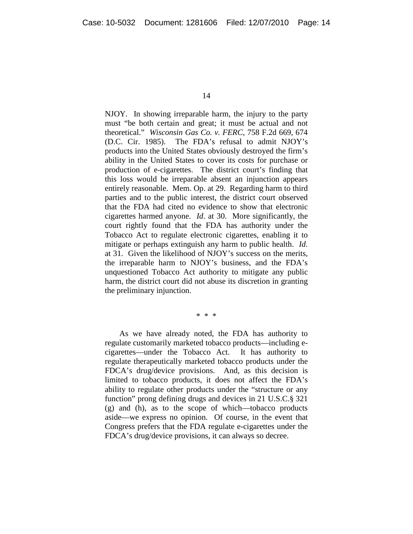NJOY. In showing irreparable harm, the injury to the party must "be both certain and great; it must be actual and not theoretical." *Wisconsin Gas Co. v. FERC*, 758 F.2d 669, 674 (D.C. Cir. 1985). The FDA's refusal to admit NJOY's products into the United States obviously destroyed the firm's ability in the United States to cover its costs for purchase or production of e-cigarettes. The district court's finding that this loss would be irreparable absent an injunction appears entirely reasonable. Mem. Op. at 29. Regarding harm to third parties and to the public interest, the district court observed that the FDA had cited no evidence to show that electronic cigarettes harmed anyone. *Id*. at 30. More significantly, the court rightly found that the FDA has authority under the Tobacco Act to regulate electronic cigarettes, enabling it to mitigate or perhaps extinguish any harm to public health. *Id*. at 31. Given the likelihood of NJOY's success on the merits, the irreparable harm to NJOY's business, and the FDA's unquestioned Tobacco Act authority to mitigate any public harm, the district court did not abuse its discretion in granting the preliminary injunction.

\* \* \*

As we have already noted, the FDA has authority to regulate customarily marketed tobacco products—including ecigarettes—under the Tobacco Act. It has authority to regulate therapeutically marketed tobacco products under the FDCA's drug/device provisions. And, as this decision is limited to tobacco products, it does not affect the FDA's ability to regulate other products under the "structure or any function" prong defining drugs and devices in 21 U.S.C.§ 321 (g) and (h), as to the scope of which—tobacco products aside—we express no opinion. Of course, in the event that Congress prefers that the FDA regulate e-cigarettes under the FDCA's drug/device provisions, it can always so decree.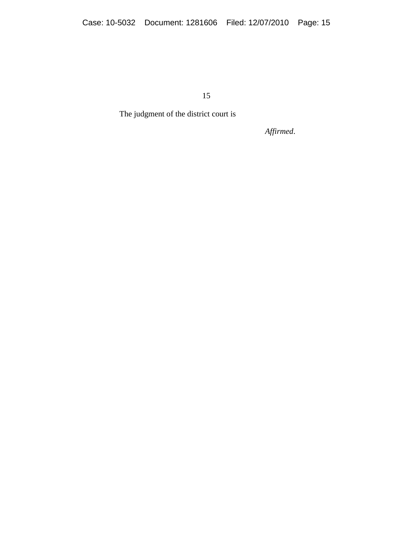The judgment of the district court is

*Affirmed*.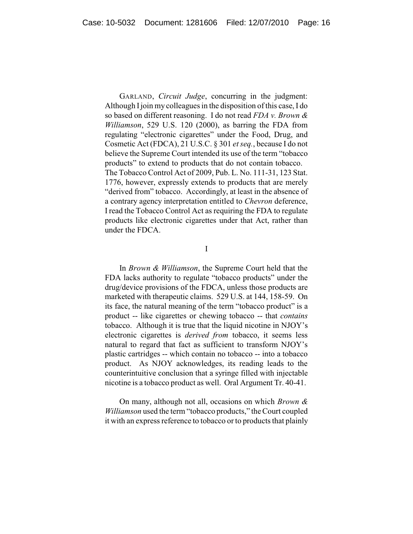GARLAND, *Circuit Judge*, concurring in the judgment: Although I join my colleagues in the disposition of this case, I do so based on different reasoning. I do not read *FDA v. Brown & Williamson*, 529 U.S. 120 (2000), as barring the FDA from regulating "electronic cigarettes" under the Food, Drug, and Cosmetic Act (FDCA), 21 U.S.C. § 301 *et seq.*, because I do not believe the Supreme Court intended its use of the term "tobacco products" to extend to products that do not contain tobacco. The Tobacco Control Act of 2009, Pub. L. No. 111-31, 123 Stat. 1776, however, expressly extends to products that are merely "derived from" tobacco. Accordingly, at least in the absence of a contrary agency interpretation entitled to *Chevron* deference, I read the Tobacco Control Act as requiring the FDA to regulate products like electronic cigarettes under that Act, rather than under the FDCA.

I

In *Brown & Williamson*, the Supreme Court held that the FDA lacks authority to regulate "tobacco products" under the drug/device provisions of the FDCA, unless those products are marketed with therapeutic claims. 529 U.S. at 144, 158-59. On its face, the natural meaning of the term "tobacco product" is a product -- like cigarettes or chewing tobacco -- that *contains* tobacco. Although it is true that the liquid nicotine in NJOY's electronic cigarettes is *derived from* tobacco, it seems less natural to regard that fact as sufficient to transform NJOY's plastic cartridges -- which contain no tobacco -- into a tobacco product. As NJOY acknowledges, its reading leads to the counterintuitive conclusion that a syringe filled with injectable nicotine is a tobacco product as well. Oral Argument Tr. 40-41.

On many, although not all, occasions on which *Brown & Williamson* used the term "tobacco products," the Court coupled it with an express reference to tobacco or to products that plainly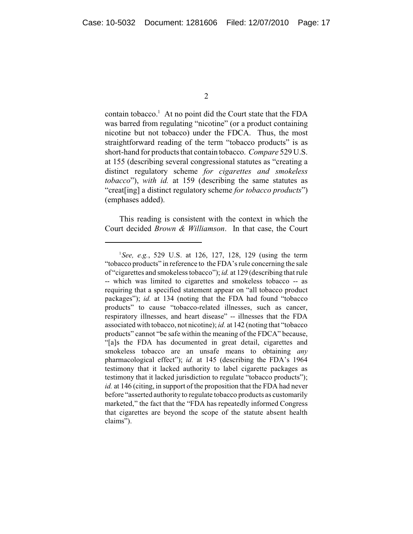contain tobacco.<sup>1</sup> At no point did the Court state that the FDA was barred from regulating "nicotine" (or a product containing nicotine but not tobacco) under the FDCA. Thus, the most straightforward reading of the term "tobacco products" is as short-hand for products that contain tobacco. *Compare* 529 U.S. at 155 (describing several congressional statutes as "creating a distinct regulatory scheme *for cigarettes and smokeless tobacco*"), *with id.* at 159 (describing the same statutes as "creat[ing] a distinct regulatory scheme *for tobacco products*") (emphases added).

This reading is consistent with the context in which the Court decided *Brown & Williamson*. In that case, the Court

<sup>1</sup> *See, e.g.*, 529 U.S. at 126, 127, 128, 129 (using the term "tobacco products" in reference to the FDA's rule concerning the sale of "cigarettes and smokelesstobacco"); *id.* at 129 (describing that rule -- which was limited to cigarettes and smokeless tobacco -- as requiring that a specified statement appear on "all tobacco product packages"); *id.* at 134 (noting that the FDA had found "tobacco products" to cause "tobacco-related illnesses, such as cancer, respiratory illnesses, and heart disease" -- illnesses that the FDA associated with tobacco, not nicotine); *id.* at 142 (noting that "tobacco products" cannot "be safe within the meaning of the FDCA" because, "[a]s the FDA has documented in great detail, cigarettes and smokeless tobacco are an unsafe means to obtaining *any* pharmacological effect"); *id.* at 145 (describing the FDA's 1964 testimony that it lacked authority to label cigarette packages as testimony that it lacked jurisdiction to regulate "tobacco products"); *id.* at 146 (citing, in support of the proposition that the FDA had never before "asserted authority to regulate tobacco products as customarily marketed," the fact that the "FDA has repeatedly informed Congress that cigarettes are beyond the scope of the statute absent health claims").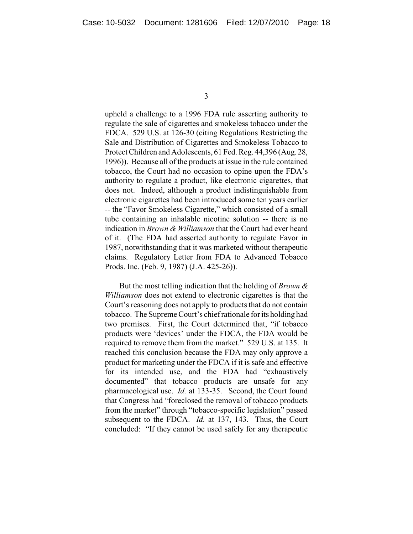upheld a challenge to a 1996 FDA rule asserting authority to regulate the sale of cigarettes and smokeless tobacco under the FDCA. 529 U.S. at 126-30 (citing Regulations Restricting the Sale and Distribution of Cigarettes and Smokeless Tobacco to Protect Children and Adolescents, 61 Fed. Reg. 44,396 (Aug. 28, 1996)). Because all of the products at issue in the rule contained tobacco, the Court had no occasion to opine upon the FDA's authority to regulate a product, like electronic cigarettes, that does not. Indeed, although a product indistinguishable from electronic cigarettes had been introduced some ten years earlier -- the "Favor Smokeless Cigarette," which consisted of a small tube containing an inhalable nicotine solution -- there is no indication in *Brown & Williamson* that the Court had ever heard of it. (The FDA had asserted authority to regulate Favor in 1987, notwithstanding that it was marketed without therapeutic claims. Regulatory Letter from FDA to Advanced Tobacco Prods. Inc. (Feb. 9, 1987) (J.A. 425-26)).

But the most telling indication that the holding of *Brown & Williamson* does not extend to electronic cigarettes is that the Court's reasoning does not apply to products that do not contain tobacco. The Supreme Court's chiefrationale for its holding had two premises. First, the Court determined that, "if tobacco products were 'devices' under the FDCA, the FDA would be required to remove them from the market." 529 U.S. at 135. It reached this conclusion because the FDA may only approve a product for marketing under the FDCA if it is safe and effective for its intended use, and the FDA had "exhaustively documented" that tobacco products are unsafe for any pharmacological use. *Id.* at 133-35. Second, the Court found that Congress had "foreclosed the removal of tobacco products from the market" through "tobacco-specific legislation" passed subsequent to the FDCA. *Id.* at 137, 143. Thus, the Court concluded: "If they cannot be used safely for any therapeutic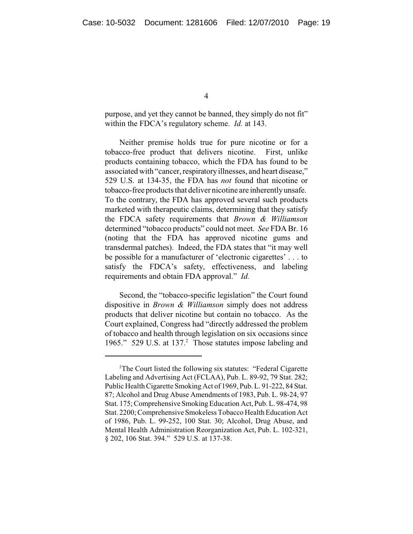purpose, and yet they cannot be banned, they simply do not fit" within the FDCA's regulatory scheme. *Id.* at 143.

Neither premise holds true for pure nicotine or for a tobacco-free product that delivers nicotine. First, unlike products containing tobacco, which the FDA has found to be associated with "cancer, respiratoryillnesses, and heart disease," 529 U.S. at 134-35, the FDA has *not* found that nicotine or tobacco-free products that deliver nicotine are inherentlyunsafe. To the contrary, the FDA has approved several such products marketed with therapeutic claims, determining that they satisfy the FDCA safety requirements that *Brown & Williamson* determined "tobacco products" could not meet. *See* FDA Br. 16 (noting that the FDA has approved nicotine gums and transdermal patches). Indeed, the FDA states that "it may well be possible for a manufacturer of 'electronic cigarettes' . . . to satisfy the FDCA's safety, effectiveness, and labeling requirements and obtain FDA approval." *Id.* 

Second, the "tobacco-specific legislation" the Court found dispositive in *Brown & Williamson* simply does not address products that deliver nicotine but contain no tobacco. As the Court explained, Congress had "directly addressed the problem of tobacco and health through legislation on six occasions since 1965." 529 U.S. at 137.<sup>2</sup> Those statutes impose labeling and

<sup>&</sup>lt;sup>2</sup>The Court listed the following six statutes: "Federal Cigarette Labeling and Advertising Act (FCLAA), Pub. L. 89-92, 79 Stat. 282; Public Health Cigarette Smoking Act of 1969, Pub. L. 91-222, 84 Stat. 87; Alcohol and Drug Abuse Amendments of 1983, Pub. L. 98-24, 97 Stat. 175;Comprehensive Smoking Education Act, Pub. L. 98-474, 98 Stat. 2200; Comprehensive Smokeless Tobacco Health Education Act of 1986, Pub. L. 99-252, 100 Stat. 30; Alcohol, Drug Abuse, and Mental Health Administration Reorganization Act, Pub. L. 102-321, § 202, 106 Stat. 394." 529 U.S. at 137-38.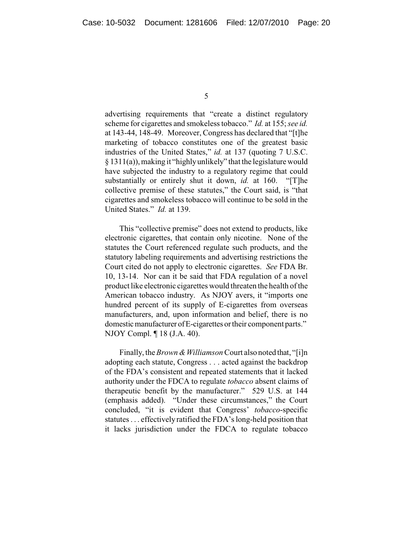advertising requirements that "create a distinct regulatory scheme for cigarettes and smokeless tobacco." *Id.* at 155; *see id.* at 143-44, 148-49. Moreover, Congress has declared that "[t]he marketing of tobacco constitutes one of the greatest basic industries of the United States," *id.* at 137 (quoting 7 U.S.C. § 1311(a)), making it "highlyunlikely" that the legislature would have subjected the industry to a regulatory regime that could substantially or entirely shut it down, *id.* at 160. "[T]he collective premise of these statutes," the Court said, is "that cigarettes and smokeless tobacco will continue to be sold in the United States." *Id.* at 139.

This "collective premise" does not extend to products, like electronic cigarettes, that contain only nicotine. None of the statutes the Court referenced regulate such products, and the statutory labeling requirements and advertising restrictions the Court cited do not apply to electronic cigarettes. *See* FDA Br. 10, 13-14. Nor can it be said that FDA regulation of a novel product like electronic cigarettes would threaten the health of the American tobacco industry. As NJOY avers, it "imports one hundred percent of its supply of E-cigarettes from overseas manufacturers, and, upon information and belief, there is no domestic manufacturer of E-cigarettes or their component parts." NJOY Compl. ¶ 18 (J.A. 40).

Finally, the *Brown & Williamson* Court also noted that, "[i]n adopting each statute, Congress . . . acted against the backdrop of the FDA's consistent and repeated statements that it lacked authority under the FDCA to regulate *tobacco* absent claims of therapeutic benefit by the manufacturer." 529 U.S. at 144 (emphasis added). "Under these circumstances," the Court concluded, "it is evident that Congress' *tobacco*-specific statutes . . . effectively ratified the FDA's long-held position that it lacks jurisdiction under the FDCA to regulate tobacco

<sup>5</sup>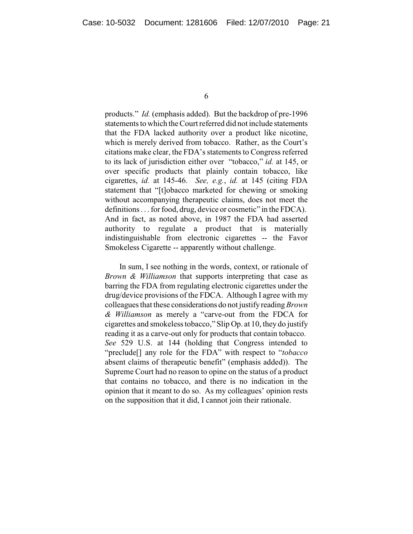products." *Id.* (emphasis added). But the backdrop of pre-1996 statements to which the Court referred did not include statements that the FDA lacked authority over a product like nicotine, which is merely derived from tobacco. Rather, as the Court's citations make clear, the FDA's statements to Congress referred to its lack of jurisdiction either over "tobacco," *id.* at 145, or over specific products that plainly contain tobacco, like cigarettes, *id.* at 145-46. *See, e.g.*, *id.* at 145 (citing FDA statement that "[t]obacco marketed for chewing or smoking without accompanying therapeutic claims, does not meet the definitions . . . for food, drug, device or cosmetic" in the FDCA). And in fact, as noted above, in 1987 the FDA had asserted authority to regulate a product that is materially indistinguishable from electronic cigarettes -- the Favor Smokeless Cigarette -- apparently without challenge.

In sum, I see nothing in the words, context, or rationale of *Brown & Williamson* that supports interpreting that case as barring the FDA from regulating electronic cigarettes under the drug/device provisions of the FDCA. Although I agree with my colleagues that these considerations do not justifyreading *Brown & Williamson* as merely a "carve-out from the FDCA for cigarettes and smokeless tobacco," Slip Op. at 10, they do justify reading it as a carve-out only for products that contain tobacco. *See* 529 U.S. at 144 (holding that Congress intended to "preclude[] any role for the FDA" with respect to "*tobacco* absent claims of therapeutic benefit" (emphasis added)). The Supreme Court had no reason to opine on the status of a product that contains no tobacco, and there is no indication in the opinion that it meant to do so. As my colleagues' opinion rests on the supposition that it did, I cannot join their rationale.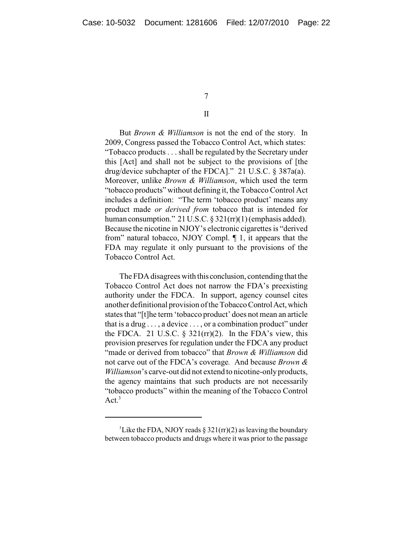## II

But *Brown & Williamson* is not the end of the story. In 2009, Congress passed the Tobacco Control Act, which states: "Tobacco products . . . shall be regulated by the Secretary under this [Act] and shall not be subject to the provisions of [the drug/device subchapter of the FDCA]." 21 U.S.C. § 387a(a). Moreover, unlike *Brown & Williamson*, which used the term "tobacco products" without defining it, the Tobacco Control Act includes a definition: "The term 'tobacco product' means any product made *or derived from* tobacco that is intended for human consumption." 21 U.S.C.  $\S 321(\text{rr})(1)$  (emphasis added). Because the nicotine in NJOY's electronic cigarettes is "derived from" natural tobacco, NJOY Compl. ¶ 1, it appears that the FDA may regulate it only pursuant to the provisions of the Tobacco Control Act.

The FDA disagrees with this conclusion, contending that the Tobacco Control Act does not narrow the FDA's preexisting authority under the FDCA. In support, agency counsel cites another definitional provision of the Tobacco Control Act, which states that "[t]he term 'tobacco product' does not mean an article that is a drug  $\dots$ , a device  $\dots$ , or a combination product" under the FDCA. 21 U.S.C.  $\S$  321(rr)(2). In the FDA's view, this provision preserves for regulation under the FDCA any product "made or derived from tobacco" that *Brown & Williamson* did not carve out of the FDCA's coverage*.* And because *Brown & Williamson*'s carve-out did not extend to nicotine-onlyproducts, the agency maintains that such products are not necessarily "tobacco products" within the meaning of the Tobacco Control Act. $3$ 

<sup>&</sup>lt;sup>3</sup>Like the FDA, NJOY reads  $\S 321(r)(2)$  as leaving the boundary between tobacco products and drugs where it was prior to the passage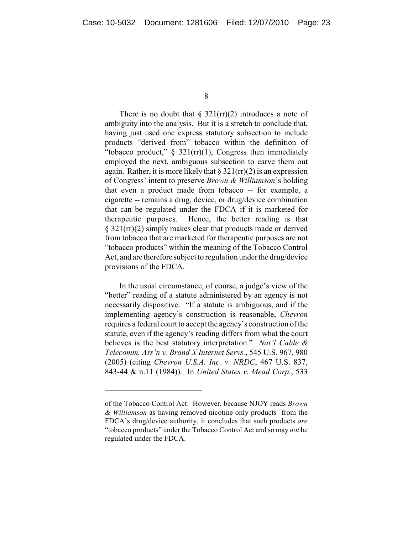There is no doubt that  $\S 321(\text{rr})(2)$  introduces a note of ambiguity into the analysis. But it is a stretch to conclude that, having just used one express statutory subsection to include products "derived from" tobacco within the definition of "tobacco product,"  $\S$  321(rr)(1), Congress then immediately employed the next, ambiguous subsection to carve them out again. Rather, it is more likely that  $\S 321$ (rr)(2) is an expression of Congress' intent to preserve *Brown & Williamson*'s holding that even a product made from tobacco -- for example, a cigarette -- remains a drug, device, or drug/device combination that can be regulated under the FDCA if it is marketed for therapeutic purposes. Hence, the better reading is that § 321(rr)(2) simply makes clear that products made or derived from tobacco that are marketed for therapeutic purposes are not "tobacco products" within the meaning of the Tobacco Control Act, and are therefore subject to regulation under the drug/device provisions of the FDCA.

In the usual circumstance, of course, a judge's view of the "better" reading of a statute administered by an agency is not necessarily dispositive. "If a statute is ambiguous, and if the implementing agency's construction is reasonable, *Chevron* requires a federal court to accept the agency's construction of the statute, even if the agency's reading differs from what the court believes is the best statutory interpretation." *Nat'l Cable & Telecomm. Ass'n v. Brand X Internet Servs.*, 545 U.S. 967, 980 (2005) (citing *Chevron U.S.A. Inc. v. NRDC*, 467 U.S. 837, 843-44 & n.11 (1984)). In *United States v. Mead Corp.*, 533

of the Tobacco Control Act. However, because NJOY reads *Brown & Williamson* as having removed nicotine-only products from the FDCA's drug/device authority, it concludes that such products *are* "tobacco products" under the Tobacco Control Act and so may *not* be regulated under the FDCA.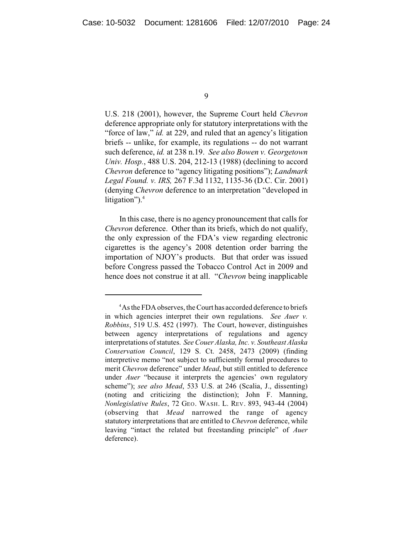U.S. 218 (2001), however, the Supreme Court held *Chevron* deference appropriate only for statutory interpretations with the "force of law," *id.* at 229, and ruled that an agency's litigation briefs -- unlike, for example, its regulations -- do not warrant such deference, *id.* at 238 n.19. *See also Bowen v. Georgetown Univ. Hosp.*, 488 U.S. 204, 212-13 (1988) (declining to accord *Chevron* deference to "agency litigating positions"); *Landmark Legal Found. v. IRS,* 267 F.3d 1132, 1135-36 (D.C. Cir. 2001) (denying *Chevron* deference to an interpretation "developed in litigation"). 4

In this case, there is no agency pronouncement that calls for *Chevron* deference. Other than its briefs, which do not qualify, the only expression of the FDA's view regarding electronic cigarettes is the agency's 2008 detention order barring the importation of NJOY's products. But that order was issued before Congress passed the Tobacco Control Act in 2009 and hence does not construe it at all. "*Chevron* being inapplicable

<sup>&</sup>lt;sup>4</sup>As the FDA observes, the Court has accorded deference to briefs in which agencies interpret their own regulations. *See Auer v. Robbins*, 519 U.S. 452 (1997). The Court, however, distinguishes between agency interpretations of regulations and agency interpretations of statutes. *See Couer Alaska, Inc. v. Southeast Alaska Conservation Council*, 129 S. Ct. 2458, 2473 (2009) (finding interpretive memo "not subject to sufficiently formal procedures to merit *Chevron* deference" under *Mead*, but still entitled to deference under *Auer* "because it interprets the agencies' own regulatory scheme"); *see also Mead*, 533 U.S. at 246 (Scalia, J., dissenting) (noting and criticizing the distinction); John F. Manning, *Nonlegislative Rules*, 72 GEO. WASH. L. REV. 893, 943-44 (2004) (observing that *Mead* narrowed the range of agency statutory interpretations that are entitled to *Chevron* deference, while leaving "intact the related but freestanding principle" of *Auer* deference).